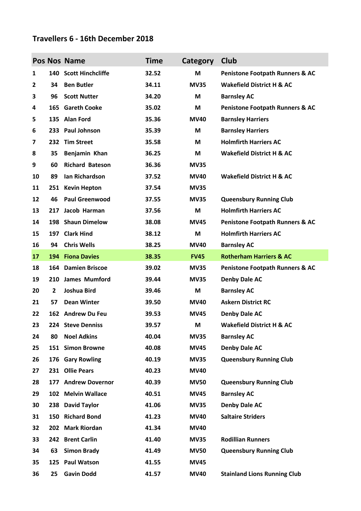## **Travellers 6 - 16th December 2018**

|    |                         | Pos Nos Name           | <b>Time</b> | Category    | Club                                       |
|----|-------------------------|------------------------|-------------|-------------|--------------------------------------------|
| 1  |                         | 140 Scott Hinchcliffe  | 32.52       | M           | <b>Penistone Footpath Runners &amp; AC</b> |
| 2  | 34                      | <b>Ben Butler</b>      | 34.11       | <b>MV35</b> | <b>Wakefield District H &amp; AC</b>       |
| 3  | 96                      | <b>Scott Nutter</b>    | 34.20       | M           | <b>Barnsley AC</b>                         |
| 4  | 165                     | <b>Gareth Cooke</b>    | 35.02       | M           | <b>Penistone Footpath Runners &amp; AC</b> |
| 5  |                         | 135 Alan Ford          | 35.36       | <b>MV40</b> | <b>Barnsley Harriers</b>                   |
| 6  | 233                     | <b>Paul Johnson</b>    | 35.39       | M           | <b>Barnsley Harriers</b>                   |
| 7  |                         | 232 Tim Street         | 35.58       | M           | <b>Holmfirth Harriers AC</b>               |
| 8  | 35                      | Benjamin Khan          | 36.25       | М           | <b>Wakefield District H &amp; AC</b>       |
| 9  | 60                      | <b>Richard Bateson</b> | 36.36       | <b>MV35</b> |                                            |
| 10 | 89                      | Ian Richardson         | 37.52       | <b>MV40</b> | <b>Wakefield District H &amp; AC</b>       |
| 11 | 251                     | <b>Kevin Hepton</b>    | 37.54       | <b>MV35</b> |                                            |
| 12 | 46                      | <b>Paul Greenwood</b>  | 37.55       | <b>MV35</b> | <b>Queensbury Running Club</b>             |
| 13 | 217                     | Jacob Harman           | 37.56       | M           | <b>Holmfirth Harriers AC</b>               |
| 14 | 198                     | <b>Shaun Dimelow</b>   | 38.08       | <b>MV45</b> | <b>Penistone Footpath Runners &amp; AC</b> |
| 15 | 197                     | <b>Clark Hind</b>      | 38.12       | M           | <b>Holmfirth Harriers AC</b>               |
| 16 | 94                      | <b>Chris Wells</b>     | 38.25       | <b>MV40</b> | <b>Barnsley AC</b>                         |
| 17 | 194                     | <b>Fiona Davies</b>    | 38.35       | <b>FV45</b> | <b>Rotherham Harriers &amp; AC</b>         |
| 18 |                         | 164 Damien Briscoe     | 39.02       | <b>MV35</b> | <b>Penistone Footpath Runners &amp; AC</b> |
| 19 | 210                     | James Mumford          | 39.44       | <b>MV35</b> | <b>Denby Dale AC</b>                       |
| 20 | $\overline{\mathbf{2}}$ | Joshua Bird            | 39.46       | M           | <b>Barnsley AC</b>                         |
| 21 | 57                      | <b>Dean Winter</b>     | 39.50       | <b>MV40</b> | <b>Askern District RC</b>                  |
| 22 |                         | 162 Andrew Du Feu      | 39.53       | <b>MV45</b> | <b>Denby Dale AC</b>                       |
| 23 |                         | 224 Steve Denniss      | 39.57       | M           | <b>Wakefield District H &amp; AC</b>       |
| 24 | 80                      | <b>Noel Adkins</b>     | 40.04       | <b>MV35</b> | <b>Barnsley AC</b>                         |
| 25 |                         | 151 Simon Browne       | 40.08       | <b>MV45</b> | <b>Denby Dale AC</b>                       |
| 26 | 176                     | <b>Gary Rowling</b>    | 40.19       | <b>MV35</b> | <b>Queensbury Running Club</b>             |
| 27 | 231                     | <b>Ollie Pears</b>     | 40.23       | <b>MV40</b> |                                            |
| 28 | 177                     | <b>Andrew Dovernor</b> | 40.39       | <b>MV50</b> | <b>Queensbury Running Club</b>             |
| 29 |                         | 102 Melvin Wallace     | 40.51       | <b>MV45</b> | <b>Barnsley AC</b>                         |
| 30 |                         | 238 David Taylor       | 41.06       | <b>MV35</b> | <b>Denby Dale AC</b>                       |
| 31 |                         | 150 Richard Bond       | 41.23       | <b>MV40</b> | <b>Saltaire Striders</b>                   |
| 32 |                         | 202 Mark Riordan       | 41.34       | <b>MV40</b> |                                            |
| 33 | 242                     | <b>Brent Carlin</b>    | 41.40       | <b>MV35</b> | <b>Rodillian Runners</b>                   |
| 34 | 63                      | <b>Simon Brady</b>     | 41.49       | <b>MV50</b> | <b>Queensbury Running Club</b>             |
| 35 | 125                     | <b>Paul Watson</b>     | 41.55       | <b>MV45</b> |                                            |
| 36 | 25                      | <b>Gavin Dodd</b>      | 41.57       | <b>MV40</b> | <b>Stainland Lions Running Club</b>        |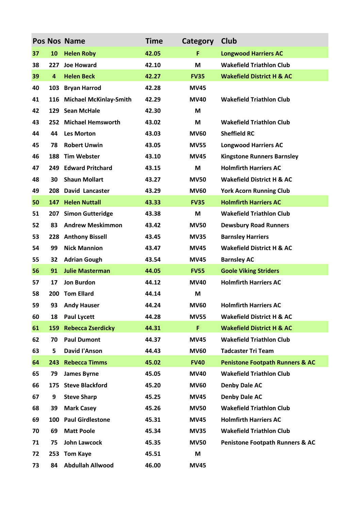|    |                         | <b>Pos Nos Name</b>           | <b>Time</b> | Category    | Club                                       |
|----|-------------------------|-------------------------------|-------------|-------------|--------------------------------------------|
| 37 | 10                      | <b>Helen Roby</b>             | 42.05       | F           | <b>Longwood Harriers AC</b>                |
| 38 | 227                     | <b>Joe Howard</b>             | 42.10       | M           | <b>Wakefield Triathlon Club</b>            |
| 39 | $\overline{\mathbf{4}}$ | <b>Helen Beck</b>             | 42.27       | <b>FV35</b> | <b>Wakefield District H &amp; AC</b>       |
| 40 | 103                     | <b>Bryan Harrod</b>           | 42.28       | <b>MV45</b> |                                            |
| 41 | 116                     | <b>Michael McKinlay-Smith</b> | 42.29       | <b>MV40</b> | <b>Wakefield Triathlon Club</b>            |
| 42 |                         | 129 Sean McHale               | 42.30       | M           |                                            |
| 43 |                         | 252 Michael Hemsworth         | 43.02       | M           | <b>Wakefield Triathlon Club</b>            |
| 44 | 44                      | <b>Les Morton</b>             | 43.03       | <b>MV60</b> | <b>Sheffield RC</b>                        |
| 45 | 78                      | <b>Robert Unwin</b>           | 43.05       | <b>MV55</b> | <b>Longwood Harriers AC</b>                |
| 46 | 188                     | <b>Tim Webster</b>            | 43.10       | <b>MV45</b> | <b>Kingstone Runners Barnsley</b>          |
| 47 | 249                     | <b>Edward Pritchard</b>       | 43.15       | M           | <b>Holmfirth Harriers AC</b>               |
| 48 | 30                      | <b>Shaun Mollart</b>          | 43.27       | <b>MV50</b> | <b>Wakefield District H &amp; AC</b>       |
| 49 | 208                     | <b>David Lancaster</b>        | 43.29       | <b>MV60</b> | <b>York Acorn Running Club</b>             |
| 50 |                         | 147 Helen Nuttall             | 43.33       | <b>FV35</b> | <b>Holmfirth Harriers AC</b>               |
| 51 | 207                     | <b>Simon Gutteridge</b>       | 43.38       | M           | <b>Wakefield Triathlon Club</b>            |
| 52 | 83                      | <b>Andrew Meskimmon</b>       | 43.42       | <b>MV50</b> | <b>Dewsbury Road Runners</b>               |
| 53 | 228                     | <b>Anthony Bissell</b>        | 43.45       | <b>MV35</b> | <b>Barnsley Harriers</b>                   |
| 54 | 99                      | <b>Nick Mannion</b>           | 43.47       | <b>MV45</b> | <b>Wakefield District H &amp; AC</b>       |
| 55 | 32                      | <b>Adrian Gough</b>           | 43.54       | <b>MV45</b> | <b>Barnsley AC</b>                         |
| 56 | 91                      | <b>Julie Masterman</b>        | 44.05       | <b>FV55</b> | <b>Goole Viking Striders</b>               |
| 57 | 17                      | <b>Jon Burdon</b>             | 44.12       | <b>MV40</b> | <b>Holmfirth Harriers AC</b>               |
| 58 |                         | 200 Tom Ellard                | 44.14       | M           |                                            |
| 59 | 93                      | <b>Andy Hauser</b>            | 44.24       | <b>MV60</b> | <b>Holmfirth Harriers AC</b>               |
| 60 | 18                      | <b>Paul Lycett</b>            | 44.28       | <b>MV55</b> | <b>Wakefield District H &amp; AC</b>       |
| 61 | <b>159</b>              | <b>Rebecca Zserdicky</b>      | 44.31       | F           | <b>Wakefield District H &amp; AC</b>       |
| 62 | 70                      | <b>Paul Dumont</b>            | 44.37       | <b>MV45</b> | <b>Wakefield Triathlon Club</b>            |
| 63 | 5                       | <b>David l'Anson</b>          | 44.43       | <b>MV60</b> | <b>Tadcaster Tri Team</b>                  |
| 64 | 243                     | <b>Rebecca Timms</b>          | 45.02       | <b>FV40</b> | <b>Penistone Footpath Runners &amp; AC</b> |
| 65 | 79                      | <b>James Byrne</b>            | 45.05       | <b>MV40</b> | <b>Wakefield Triathlon Club</b>            |
| 66 | 175                     | <b>Steve Blackford</b>        | 45.20       | <b>MV60</b> | <b>Denby Dale AC</b>                       |
| 67 | 9                       | <b>Steve Sharp</b>            | 45.25       | <b>MV45</b> | <b>Denby Dale AC</b>                       |
| 68 | 39                      | <b>Mark Casey</b>             | 45.26       | <b>MV50</b> | <b>Wakefield Triathlon Club</b>            |
| 69 | 100                     | <b>Paul Girdlestone</b>       | 45.31       | <b>MV45</b> | <b>Holmfirth Harriers AC</b>               |
| 70 | 69                      | <b>Matt Poole</b>             | 45.34       | <b>MV35</b> | <b>Wakefield Triathlon Club</b>            |
| 71 | 75                      | <b>John Lawcock</b>           | 45.35       | <b>MV50</b> | <b>Penistone Footpath Runners &amp; AC</b> |
| 72 |                         | 253 Tom Kaye                  | 45.51       | M           |                                            |
| 73 | 84                      | <b>Abdullah Allwood</b>       | 46.00       | <b>MV45</b> |                                            |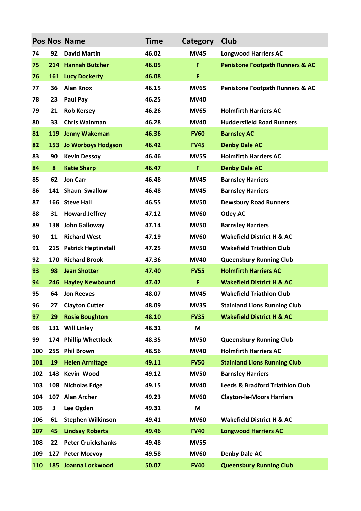|     |     | Pos Nos Name               | <b>Time</b> | Category    | Club                                       |
|-----|-----|----------------------------|-------------|-------------|--------------------------------------------|
| 74  | 92  | <b>David Martin</b>        | 46.02       | <b>MV45</b> | <b>Longwood Harriers AC</b>                |
| 75  |     | 214 Hannah Butcher         | 46.05       | F           | <b>Penistone Footpath Runners &amp; AC</b> |
| 76  | 161 | <b>Lucy Dockerty</b>       | 46.08       | F           |                                            |
| 77  | 36  | <b>Alan Knox</b>           | 46.15       | <b>MV65</b> | <b>Penistone Footpath Runners &amp; AC</b> |
| 78  | 23  | Paul Pay                   | 46.25       | <b>MV40</b> |                                            |
| 79  | 21  | <b>Rob Kersey</b>          | 46.26       | <b>MV65</b> | <b>Holmfirth Harriers AC</b>               |
| 80  | 33  | <b>Chris Wainman</b>       | 46.28       | <b>MV40</b> | <b>Huddersfield Road Runners</b>           |
| 81  | 119 | <b>Jenny Wakeman</b>       | 46.36       | <b>FV60</b> | <b>Barnsley AC</b>                         |
| 82  | 153 | <b>Jo Worboys Hodgson</b>  | 46.42       | <b>FV45</b> | <b>Denby Dale AC</b>                       |
| 83  | 90  | <b>Kevin Dessoy</b>        | 46.46       | <b>MV55</b> | <b>Holmfirth Harriers AC</b>               |
| 84  | 8   | <b>Katie Sharp</b>         | 46.47       | F           | <b>Denby Dale AC</b>                       |
| 85  | 62  | <b>Jon Carr</b>            | 46.48       | <b>MV45</b> | <b>Barnsley Harriers</b>                   |
| 86  |     | 141 Shaun Swallow          | 46.48       | <b>MV45</b> | <b>Barnsley Harriers</b>                   |
| 87  |     | 166 Steve Hall             | 46.55       | <b>MV50</b> | <b>Dewsbury Road Runners</b>               |
| 88  | 31  | <b>Howard Jeffrey</b>      | 47.12       | <b>MV60</b> | <b>Otley AC</b>                            |
| 89  |     | 138 John Galloway          | 47.14       | <b>MV50</b> | <b>Barnsley Harriers</b>                   |
| 90  | 11  | <b>Richard West</b>        | 47.19       | <b>MV60</b> | <b>Wakefield District H &amp; AC</b>       |
| 91  | 215 | <b>Patrick Heptinstall</b> | 47.25       | <b>MV50</b> | <b>Wakefield Triathlon Club</b>            |
| 92  | 170 | <b>Richard Brook</b>       | 47.36       | <b>MV40</b> | <b>Queensbury Running Club</b>             |
| 93  | 98  | <b>Jean Shotter</b>        | 47.40       | <b>FV55</b> | <b>Holmfirth Harriers AC</b>               |
| 94  | 246 | <b>Hayley Newbound</b>     | 47.42       | F           | <b>Wakefield District H &amp; AC</b>       |
| 95  | 64  | <b>Jon Reeves</b>          | 48.07       | <b>MV45</b> | <b>Wakefield Triathlon Club</b>            |
| 96  | 27  | <b>Clayton Cutter</b>      | 48.09       | <b>MV35</b> | <b>Stainland Lions Running Club</b>        |
| 97  | 29  | <b>Rosie Boughton</b>      | 48.10       | <b>FV35</b> | <b>Wakefield District H &amp; AC</b>       |
| 98  |     | 131 Will Linley            | 48.31       | M           |                                            |
| 99  | 174 | <b>Phillip Whettlock</b>   | 48.35       | <b>MV50</b> | <b>Queensbury Running Club</b>             |
| 100 | 255 | <b>Phil Brown</b>          | 48.56       | <b>MV40</b> | <b>Holmfirth Harriers AC</b>               |
| 101 | 19  | <b>Helen Armitage</b>      | 49.11       | <b>FV50</b> | <b>Stainland Lions Running Club</b>        |
| 102 | 143 | Kevin Wood                 | 49.12       | <b>MV50</b> | <b>Barnsley Harriers</b>                   |
| 103 | 108 | <b>Nicholas Edge</b>       | 49.15       | <b>MV40</b> | <b>Leeds &amp; Bradford Triathlon Club</b> |
| 104 | 107 | <b>Alan Archer</b>         | 49.23       | <b>MV60</b> | <b>Clayton-le-Moors Harriers</b>           |
| 105 | 3   | Lee Ogden                  | 49.31       | M           |                                            |
| 106 | 61  | <b>Stephen Wilkinson</b>   | 49.41       | <b>MV60</b> | <b>Wakefield District H &amp; AC</b>       |
| 107 | 45  | <b>Lindsay Roberts</b>     | 49.46       | <b>FV40</b> | <b>Longwood Harriers AC</b>                |
| 108 | 22  | <b>Peter Cruickshanks</b>  | 49.48       | <b>MV55</b> |                                            |
| 109 |     | 127 Peter Mcevoy           | 49.58       | <b>MV60</b> | <b>Denby Dale AC</b>                       |
| 110 | 185 | Joanna Lockwood            | 50.07       | <b>FV40</b> | <b>Queensbury Running Club</b>             |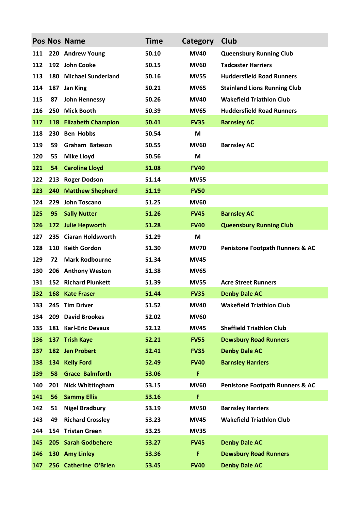|     |     | Pos Nos Name              | <b>Time</b> | Category    | Club                                       |
|-----|-----|---------------------------|-------------|-------------|--------------------------------------------|
| 111 |     | 220 Andrew Young          | 50.10       | <b>MV40</b> | <b>Queensbury Running Club</b>             |
| 112 |     | 192 John Cooke            | 50.15       | <b>MV60</b> | <b>Tadcaster Harriers</b>                  |
| 113 |     | 180 Michael Sunderland    | 50.16       | <b>MV55</b> | <b>Huddersfield Road Runners</b>           |
| 114 | 187 | <b>Jan King</b>           | 50.21       | <b>MV65</b> | <b>Stainland Lions Running Club</b>        |
| 115 | 87  | <b>John Hennessy</b>      | 50.26       | <b>MV40</b> | <b>Wakefield Triathlon Club</b>            |
| 116 |     | 250 Mick Booth            | 50.39       | <b>MV65</b> | <b>Huddersfield Road Runners</b>           |
| 117 | 118 | <b>Elizabeth Champion</b> | 50.41       | <b>FV35</b> | <b>Barnsley AC</b>                         |
| 118 | 230 | <b>Ben Hobbs</b>          | 50.54       | M           |                                            |
| 119 | 59  | <b>Graham Bateson</b>     | 50.55       | <b>MV60</b> | <b>Barnsley AC</b>                         |
| 120 | 55  | <b>Mike Lloyd</b>         | 50.56       | M           |                                            |
| 121 | 54  | <b>Caroline Lloyd</b>     | 51.08       | <b>FV40</b> |                                            |
| 122 | 213 | <b>Roger Dodson</b>       | 51.14       | <b>MV55</b> |                                            |
| 123 | 240 | <b>Matthew Shepherd</b>   | 51.19       | <b>FV50</b> |                                            |
| 124 | 229 | John Toscano              | 51.25       | <b>MV60</b> |                                            |
| 125 | 95  | <b>Sally Nutter</b>       | 51.26       | <b>FV45</b> | <b>Barnsley AC</b>                         |
| 126 |     | 172 Julie Hepworth        | 51.28       | <b>FV40</b> | <b>Queensbury Running Club</b>             |
| 127 |     | 235 Ciaran Holdsworth     | 51.29       | M           |                                            |
| 128 |     | 110 Keith Gordon          | 51.30       | <b>MV70</b> | <b>Penistone Footpath Runners &amp; AC</b> |
| 129 | 72  | <b>Mark Rodbourne</b>     | 51.34       | <b>MV45</b> |                                            |
| 130 | 206 | <b>Anthony Weston</b>     | 51.38       | <b>MV65</b> |                                            |
| 131 |     | 152 Richard Plunkett      | 51.39       | <b>MV55</b> | <b>Acre Street Runners</b>                 |
| 132 | 168 | <b>Kate Fraser</b>        | 51.44       | <b>FV35</b> | <b>Denby Dale AC</b>                       |
| 133 |     | 245 Tim Driver            | 51.52       | <b>MV40</b> | <b>Wakefield Triathlon Club</b>            |
| 134 | 209 | <b>David Brookes</b>      | 52.02       | <b>MV60</b> |                                            |
| 135 | 181 | <b>Karl-Eric Devaux</b>   | 52.12       | <b>MV45</b> | <b>Sheffield Triathlon Club</b>            |
| 136 | 137 | <b>Trish Kaye</b>         | 52.21       | <b>FV55</b> | <b>Dewsbury Road Runners</b>               |
| 137 |     | 182 Jen Probert           | 52.41       | <b>FV35</b> | <b>Denby Dale AC</b>                       |
| 138 | 134 | <b>Kelly Ford</b>         | 52.49       | <b>FV40</b> | <b>Barnsley Harriers</b>                   |
| 139 | 58  | <b>Grace Balmforth</b>    | 53.06       | F           |                                            |
| 140 | 201 | <b>Nick Whittingham</b>   | 53.15       | <b>MV60</b> | <b>Penistone Footpath Runners &amp; AC</b> |
| 141 | 56  | <b>Sammy Ellis</b>        | 53.16       | F           |                                            |
| 142 | 51  | <b>Nigel Bradbury</b>     | 53.19       | <b>MV50</b> | <b>Barnsley Harriers</b>                   |
| 143 | 49  | <b>Richard Crossley</b>   | 53.23       | <b>MV45</b> | <b>Wakefield Triathlon Club</b>            |
| 144 |     | 154 Tristan Green         | 53.25       | <b>MV35</b> |                                            |
| 145 |     | 205 Sarah Godbehere       | 53.27       | <b>FV45</b> | <b>Denby Dale AC</b>                       |
| 146 |     | 130 Amy Linley            | 53.36       | F           | <b>Dewsbury Road Runners</b>               |
| 147 |     | 256 Catherine O'Brien     | 53.45       | <b>FV40</b> | <b>Denby Dale AC</b>                       |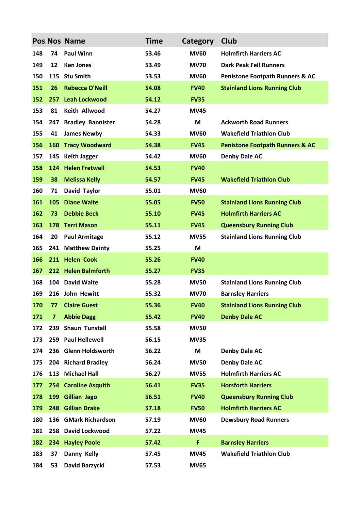|     |     | Pos Nos Name             | <b>Time</b> | Category    | Club                                       |
|-----|-----|--------------------------|-------------|-------------|--------------------------------------------|
| 148 | 74  | <b>Paul Winn</b>         | 53.46       | <b>MV60</b> | <b>Holmfirth Harriers AC</b>               |
| 149 | 12  | <b>Ken Jones</b>         | 53.49       | <b>MV70</b> | <b>Dark Peak Fell Runners</b>              |
| 150 | 115 | <b>Stu Smith</b>         | 53.53       | <b>MV60</b> | <b>Penistone Footpath Runners &amp; AC</b> |
| 151 | 26  | <b>Rebecca O'Neill</b>   | 54.08       | <b>FV40</b> | <b>Stainland Lions Running Club</b>        |
| 152 | 257 | <b>Leah Lockwood</b>     | 54.12       | <b>FV35</b> |                                            |
| 153 | 81  | <b>Keith Allwood</b>     | 54.27       | <b>MV45</b> |                                            |
| 154 | 247 | <b>Bradley Bannister</b> | 54.28       | M           | <b>Ackworth Road Runners</b>               |
| 155 | 41  | <b>James Newby</b>       | 54.33       | <b>MV60</b> | <b>Wakefield Triathlon Club</b>            |
| 156 | 160 | <b>Tracy Woodward</b>    | 54.38       | <b>FV45</b> | <b>Penistone Footpath Runners &amp; AC</b> |
| 157 | 145 | <b>Keith Jagger</b>      | 54.42       | <b>MV60</b> | <b>Denby Dale AC</b>                       |
| 158 |     | 124 Helen Fretwell       | 54.53       | <b>FV40</b> |                                            |
| 159 | 38  | <b>Melissa Kelly</b>     | 54.57       | <b>FV45</b> | <b>Wakefield Triathlon Club</b>            |
| 160 | 71  | David Taylor             | 55.01       | <b>MV60</b> |                                            |
| 161 | 105 | <b>Diane Waite</b>       | 55.05       | <b>FV50</b> | <b>Stainland Lions Running Club</b>        |
| 162 | 73  | <b>Debbie Beck</b>       | 55.10       | <b>FV45</b> | <b>Holmfirth Harriers AC</b>               |
| 163 | 178 | <b>Terri Mason</b>       | 55.11       | <b>FV45</b> | <b>Queensbury Running Club</b>             |
| 164 | 20  | <b>Paul Armitage</b>     | 55.12       | <b>MV55</b> | <b>Stainland Lions Running Club</b>        |
| 165 | 241 | <b>Matthew Dainty</b>    | 55.25       | M           |                                            |
| 166 |     | 211 Helen Cook           | 55.26       | <b>FV40</b> |                                            |
| 167 |     | 212 Helen Balmforth      | 55.27       | <b>FV35</b> |                                            |
| 168 |     | 104 David Waite          | 55.28       | <b>MV50</b> | <b>Stainland Lions Running Club</b>        |
| 169 |     | 216 John Hewitt          | 55.32       | <b>MV70</b> | <b>Barnsley Harriers</b>                   |
| 170 | 77  | <b>Claire Guest</b>      | 55.36       | <b>FV40</b> | <b>Stainland Lions Running Club</b>        |
| 171 | 7   | <b>Abbie Dagg</b>        | 55.42       | <b>FV40</b> | <b>Denby Dale AC</b>                       |
| 172 | 239 | <b>Shaun Tunstall</b>    | 55.58       | <b>MV50</b> |                                            |
| 173 | 259 | <b>Paul Hellewell</b>    | 56.15       | <b>MV35</b> |                                            |
| 174 |     | 236 Glenn Holdsworth     | 56.22       | M           | Denby Dale AC                              |
| 175 |     | 204 Richard Bradley      | 56.24       | <b>MV50</b> | <b>Denby Dale AC</b>                       |
| 176 | 113 | <b>Michael Hall</b>      | 56.27       | <b>MV55</b> | <b>Holmfirth Harriers AC</b>               |
| 177 |     | 254 Caroline Asquith     | 56.41       | <b>FV35</b> | <b>Horsforth Harriers</b>                  |
| 178 | 199 | <b>Gillian Jago</b>      | 56.51       | <b>FV40</b> | <b>Queensbury Running Club</b>             |
| 179 | 248 | <b>Gillian Drake</b>     | 57.18       | <b>FV50</b> | <b>Holmfirth Harriers AC</b>               |
| 180 | 136 | <b>GMark Richardson</b>  | 57.19       | <b>MV60</b> | <b>Dewsbury Road Runners</b>               |
| 181 | 258 | <b>David Lockwood</b>    | 57.22       | <b>MV45</b> |                                            |
| 182 | 234 | <b>Hayley Poole</b>      | 57.42       | F           | <b>Barnsley Harriers</b>                   |
| 183 | 37  | Danny Kelly              | 57.45       | <b>MV45</b> | <b>Wakefield Triathlon Club</b>            |
| 184 | 53  | David Barzycki           | 57.53       | <b>MV65</b> |                                            |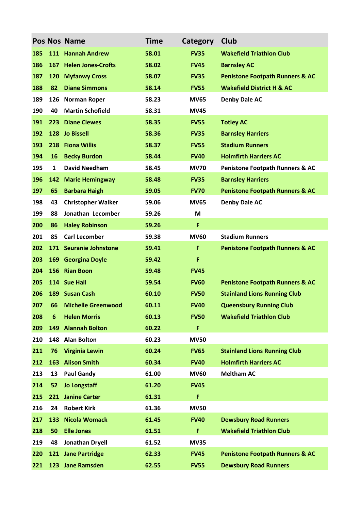|     |     | <b>Pos Nos Name</b>       | <b>Time</b> | Category    | Club                                       |
|-----|-----|---------------------------|-------------|-------------|--------------------------------------------|
| 185 |     | 111 Hannah Andrew         | 58.01       | <b>FV35</b> | <b>Wakefield Triathlon Club</b>            |
| 186 |     | 167 Helen Jones-Crofts    | 58.02       | <b>FV45</b> | <b>Barnsley AC</b>                         |
| 187 | 120 | <b>Myfanwy Cross</b>      | 58.07       | <b>FV35</b> | <b>Penistone Footpath Runners &amp; AC</b> |
| 188 | 82  | <b>Diane Simmons</b>      | 58.14       | <b>FV55</b> | <b>Wakefield District H &amp; AC</b>       |
| 189 | 126 | <b>Norman Roper</b>       | 58.23       | <b>MV65</b> | <b>Denby Dale AC</b>                       |
| 190 | 40  | <b>Martin Schofield</b>   | 58.31       | <b>MV45</b> |                                            |
| 191 | 223 | <b>Diane Clewes</b>       | 58.35       | <b>FV55</b> | <b>Totley AC</b>                           |
| 192 |     | 128 Jo Bissell            | 58.36       | <b>FV35</b> | <b>Barnsley Harriers</b>                   |
| 193 | 218 | <b>Fiona Willis</b>       | 58.37       | <b>FV55</b> | <b>Stadium Runners</b>                     |
| 194 | 16  | <b>Becky Burdon</b>       | 58.44       | <b>FV40</b> | <b>Holmfirth Harriers AC</b>               |
| 195 | 1   | <b>David Needham</b>      | 58.45       | <b>MV70</b> | <b>Penistone Footpath Runners &amp; AC</b> |
| 196 | 142 | <b>Marie Hemingway</b>    | 58.48       | <b>FV35</b> | <b>Barnsley Harriers</b>                   |
| 197 | 65  | <b>Barbara Haigh</b>      | 59.05       | <b>FV70</b> | <b>Penistone Footpath Runners &amp; AC</b> |
| 198 | 43  | <b>Christopher Walker</b> | 59.06       | <b>MV65</b> | <b>Denby Dale AC</b>                       |
| 199 | 88  | Jonathan Lecomber         | 59.26       | M           |                                            |
| 200 | 86  | <b>Haley Robinson</b>     | 59.26       | F           |                                            |
| 201 | 85  | <b>Carl Lecomber</b>      | 59.38       | <b>MV60</b> | <b>Stadium Runners</b>                     |
| 202 |     | 171 Seuranie Johnstone    | 59.41       | F           | <b>Penistone Footpath Runners &amp; AC</b> |
| 203 |     | 169 Georgina Doyle        | 59.42       | F           |                                            |
| 204 |     | 156 Rian Boon             | 59.48       | <b>FV45</b> |                                            |
| 205 |     | 114 Sue Hall              | 59.54       | <b>FV60</b> | <b>Penistone Footpath Runners &amp; AC</b> |
| 206 |     | 189 Susan Cash            | 60.10       | <b>FV50</b> | <b>Stainland Lions Running Club</b>        |
| 207 | 66  | <b>Michelle Greenwood</b> | 60.11       | <b>FV40</b> | <b>Queensbury Running Club</b>             |
| 208 | 6   | <b>Helen Morris</b>       | 60.13       | <b>FV50</b> | <b>Wakefield Triathlon Club</b>            |
| 209 |     | 149 Alannah Bolton        | 60.22       | F           |                                            |
| 210 |     | 148 Alan Bolton           | 60.23       | <b>MV50</b> |                                            |
| 211 | 76  | <b>Virginia Lewin</b>     | 60.24       | <b>FV65</b> | <b>Stainland Lions Running Club</b>        |
| 212 | 163 | <b>Alison Smith</b>       | 60.34       | <b>FV40</b> | <b>Holmfirth Harriers AC</b>               |
| 213 | 13  | <b>Paul Gandy</b>         | 61.00       | <b>MV60</b> | <b>Meltham AC</b>                          |
| 214 | 52  | <b>Jo Longstaff</b>       | 61.20       | <b>FV45</b> |                                            |
| 215 |     | 221 Janine Carter         | 61.31       | F           |                                            |
| 216 | 24  | <b>Robert Kirk</b>        | 61.36       | <b>MV50</b> |                                            |
| 217 | 133 | <b>Nicola Womack</b>      | 61.45       | <b>FV40</b> | <b>Dewsbury Road Runners</b>               |
| 218 | 50  | <b>Elle Jones</b>         | 61.51       | F           | <b>Wakefield Triathlon Club</b>            |
| 219 | 48  | <b>Jonathan Dryell</b>    | 61.52       | <b>MV35</b> |                                            |
| 220 |     | 121 Jane Partridge        | 62.33       | <b>FV45</b> | <b>Penistone Footpath Runners &amp; AC</b> |
| 221 |     | 123 Jane Ramsden          | 62.55       | <b>FV55</b> | <b>Dewsbury Road Runners</b>               |